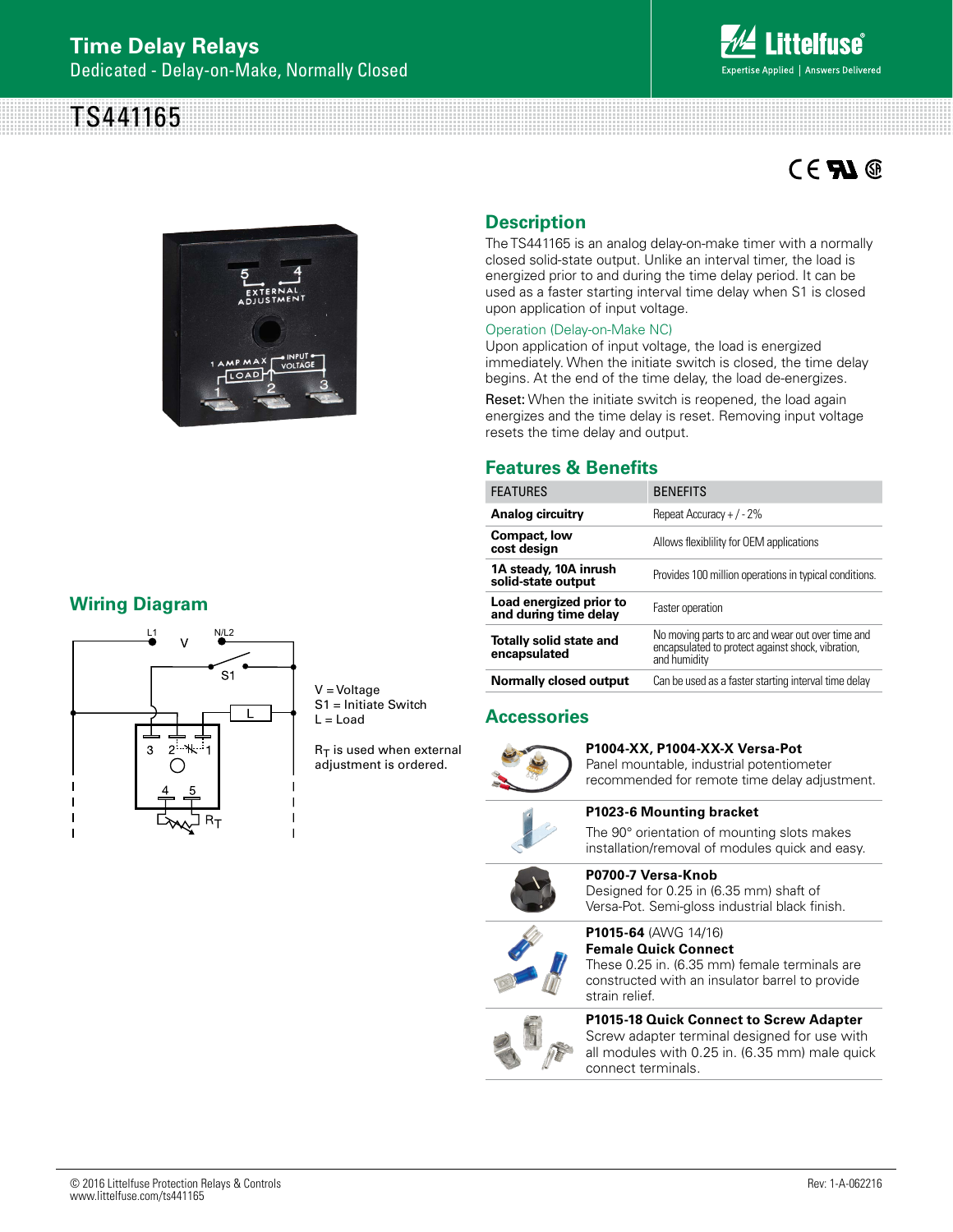# TS441165



# $CE$  **Al**  $@$



## **Wiring Diagram**



V = Voltage S1 = Initiate Switch  $L =$  Load

 $R_T$  is used when external adjustment is ordered.

### **Description**

The TS441165 is an analog delay-on-make timer with a normally closed solid-state output. Unlike an interval timer, the load is energized prior to and during the time delay period. It can be used as a faster starting interval time delay when S1 is closed upon application of input voltage.

#### Operation (Delay-on-Make NC)

Upon application of input voltage, the load is energized immediately. When the initiate switch is closed, the time delay begins. At the end of the time delay, the load de-energizes.

Reset: When the initiate switch is reopened, the load again energizes and the time delay is reset. Removing input voltage resets the time delay and output.

### **Features & Benefits**

| <b>FEATURES</b>                                  | <b>BENEFITS</b>                                                                                                        |  |  |
|--------------------------------------------------|------------------------------------------------------------------------------------------------------------------------|--|--|
| Analog circuitry                                 | Repeat Accuracy + $/ - 2\%$                                                                                            |  |  |
| Compact, low<br>cost design                      | Allows flexibility for OEM applications                                                                                |  |  |
| 1A steady, 10A inrush<br>solid-state output      | Provides 100 million operations in typical conditions.                                                                 |  |  |
| Load energized prior to<br>and during time delay | Faster operation                                                                                                       |  |  |
| Totally solid state and<br>encapsulated          | No moving parts to arc and wear out over time and<br>encapsulated to protect against shock, vibration,<br>and humidity |  |  |
| <b>Normally closed output</b>                    | Can be used as a faster starting interval time delay                                                                   |  |  |

### **Accessories**



**P1004-XX, P1004-XX-X Versa-Pot**  Panel mountable, industrial potentiometer

recommended for remote time delay adjustment.



**P1023-6 Mounting bracket** The 90° orientation of mounting slots makes





**P0700-7 Versa-Knob** Designed for 0.25 in (6.35 mm) shaft of Versa-Pot. Semi-gloss industrial black finish.



### **P1015-64** (AWG 14/16) **Female Quick Connect** These 0.25 in. (6.35 mm) female terminals are

constructed with an insulator barrel to provide strain relief.



**P1015-18 Quick Connect to Screw Adapter** Screw adapter terminal designed for use with all modules with 0.25 in. (6.35 mm) male quick connect terminals.